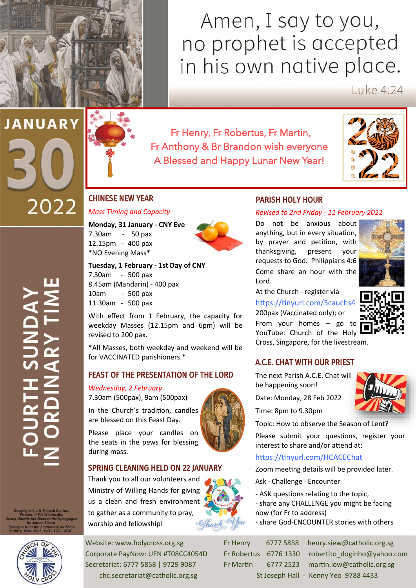## Amen, I say to you, no prophet is accepted in his own native place.

 $IukP4.24$ 

# **JANUARY** 2022



Fr Henry, Fr Robertus, Fr Martin, Fr Anthony & Br Brandon wish everyone A Blessed and Happy Lunar New Year!



#### CHINESE NEW YEAR

#### *Mass Timing and Capacity*

**Monday, 31 January - CNY Eve** 7.30am - 50 pax 12.15pm - 400 pax \*NO Evening Mass\*



7.30am - 500 pax 8.45am (Mandarin) - 400 pax 10am - 500 pax 11.30am - 500 pax

With effect from 1 February, the capacity for weekday Masses (12.15pm and 6pm) will be revised to 200 pax.

\*All Masses, both weekday and weekend will be for VACCINATED parishioners.\*

#### FEAST OF THE PRESENTATION OF THE LORD

#### *Wednesday, 2 February*

7.30am (500pax), 9am (500pax)

In the Church's tradition, candles are blessed on this Feast Day.

Please place your candles on the seats in the pews for blessing during mass.

#### SPRING CLEANING HELD ON 22 JANUARY

Thank you to all our volunteers and Ministry of Willing Hands for giving us a clean and fresh environment to gather as a community to pray, worship and fellowship!



### PARISH HOLY HOUR

#### *Revised to 2nd Friday - 11 February 2022*

Do not be anxious about anything, but in every situation, by prayer and petition, with thanksgiving, present your requests to God. Philippians 4:6 Come share an hour with the Lord.



At the Church - register via <https://tinyurl.com/3cauchs4> 200pax (Vaccinated only); or From your homes – go to YouTube: Church of the Holy Cross, Singapore, for the livestream.

#### A.C.E. CHAT WITH OUR PRIEST

The next Parish A.C.E. Chat will be happening soon!

Date: Monday, 28 Feb 2022

Topic: How to observe the Season of Lent?

Please submit your questions, register your interest to share and/or attend at:

#### <https://tinyurl.com/HCACEChat>

Zoom meeting details will be provided later.

- Ask · Challenge · Encounter
- ASK questions relating to the topic,
- share any CHALLENGE you might be facing now (for Fr to address)
- share God-ENCOUNTER stories with others

| <b>Fr Henry</b>    | 6777 58 |
|--------------------|---------|
| Fr Robertus 6776 1 |         |
| <b>Fr Martin</b>   | 6777 2. |
| St Insenh I        |         |

 $\mathbf{I}$ 



Website: www.holycross.org.sg Fr Henry 6777 5858 henry.siew@catholic.org.sg Corporate PayNow: UEN #T08CC4054D Fr Robertus 6776 1330 robertito doginho@yahoo.com Secretariat: 6777 5858 | 9729 9087 Fr Martin 6777 2523 martin.low@catholic.org.sg chc.secretariat@catholic.org.sg St Joseph Hall - Kenny Yeo 9788 4433

Time: 8pm to 9.30pm